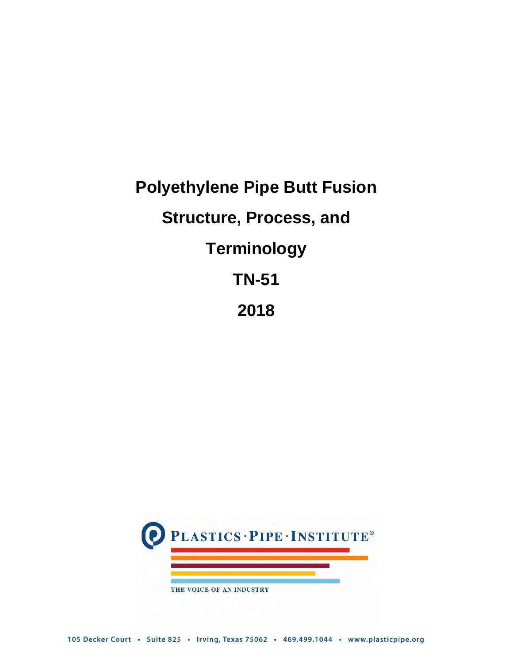# **Polyethylene Pipe Butt Fusion Structure, Process, and Terminology TN-51 2018**

<span id="page-0-0"></span>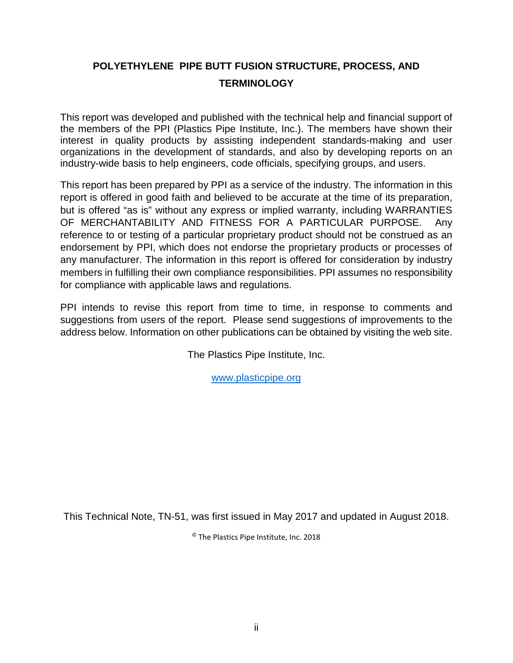#### **POLYETHYLENE PIPE BUTT FUSION STRUCTURE, PROCESS, AND TERMINOLOGY**

This report was developed and published with the technical help and financial support of the members of the PPI (Plastics Pipe Institute, Inc.). The members have shown their interest in quality products by assisting independent standards-making and user organizations in the development of standards, and also by developing reports on an industry-wide basis to help engineers, code officials, specifying groups, and users.

This report has been prepared by PPI as a service of the industry. The information in this report is offered in good faith and believed to be accurate at the time of its preparation, but is offered "as is" without any express or implied warranty, including WARRANTIES OF MERCHANTABILITY AND FITNESS FOR A PARTICULAR PURPOSE. Any reference to or testing of a particular proprietary product should not be construed as an endorsement by PPI, which does not endorse the proprietary products or processes of any manufacturer. The information in this report is offered for consideration by industry members in fulfilling their own compliance responsibilities. PPI assumes no responsibility for compliance with applicable laws and regulations.

PPI intends to revise this report from time to time, in response to comments and suggestions from users of the report. Please send suggestions of improvements to the address below. Information on other publications can be obtained by visiting the web site.

The Plastics Pipe Institute, Inc.

[www.plasticpipe.org](http://www.plasticpipe.org/)

This Technical Note, TN-51, was first issued in May 2017 and updated in August 2018.

© The Plastics Pipe Institute, Inc. 2018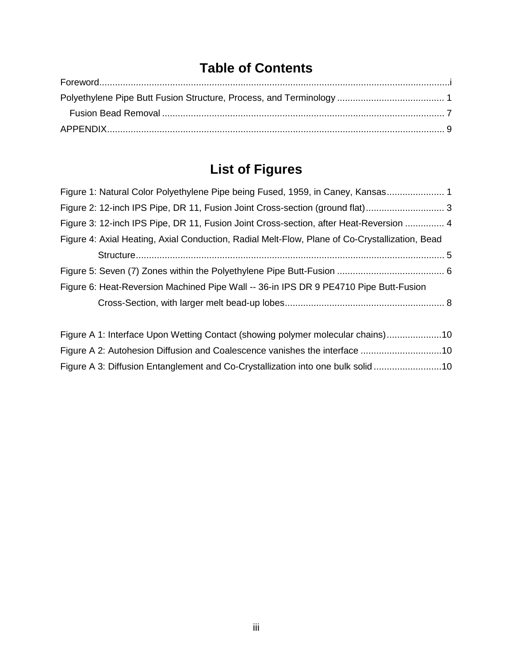# **Table of Contents**

# **List of Figures**

| Figure 1: Natural Color Polyethylene Pipe being Fused, 1959, in Caney, Kansas 1                |  |
|------------------------------------------------------------------------------------------------|--|
| Figure 2: 12-inch IPS Pipe, DR 11, Fusion Joint Cross-section (ground flat)                    |  |
| Figure 3: 12-inch IPS Pipe, DR 11, Fusion Joint Cross-section, after Heat-Reversion  4         |  |
| Figure 4: Axial Heating, Axial Conduction, Radial Melt-Flow, Plane of Co-Crystallization, Bead |  |
|                                                                                                |  |
|                                                                                                |  |
| Figure 6: Heat-Reversion Machined Pipe Wall -- 36-in IPS DR 9 PE4710 Pipe Butt-Fusion          |  |
|                                                                                                |  |
|                                                                                                |  |
| Figure A 1: Interface Upon Wetting Contact (showing polymer molecular chains)10                |  |

[Figure A 2: Autohesion Diffusion and Coalescence vanishes the interface](#page-12-1) ...............................10 [Figure A 3: Diffusion Entanglement and Co-Crystallization into one bulk solid](#page-12-2) ..........................10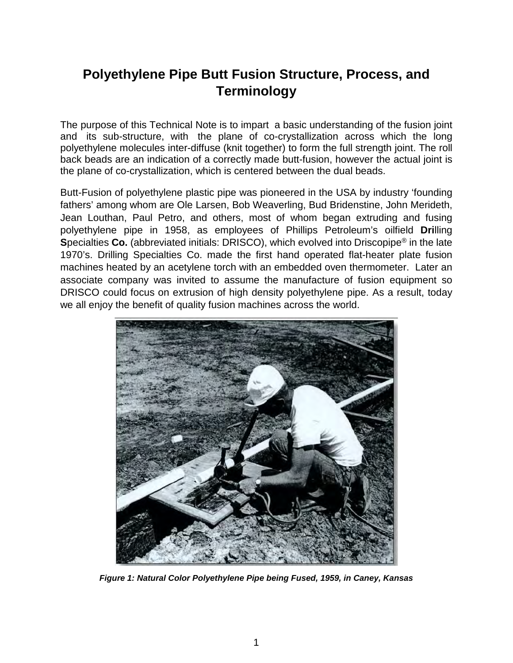#### <span id="page-3-0"></span>**Polyethylene Pipe Butt Fusion Structure, Process, and Terminology**

The purpose of this Technical Note is to impart a basic understanding of the fusion joint and its sub-structure, with the plane of co-crystallization across which the long polyethylene molecules inter-diffuse (knit together) to form the full strength joint. The roll back beads are an indication of a correctly made butt-fusion, however the actual joint is the plane of co-crystallization, which is centered between the dual beads.

Butt-Fusion of polyethylene plastic pipe was pioneered in the USA by industry 'founding fathers' among whom are Ole Larsen, Bob Weaverling, Bud Bridenstine, John Merideth, Jean Louthan, Paul Petro, and others, most of whom began extruding and fusing polyethylene pipe in 1958, as employees of Phillips Petroleum's oilfield **Dri**lling **S**pecialties **Co.** (abbreviated initials: DRISCO), which evolved into Driscopipe® in the late 1970's. Drilling Specialties Co. made the first hand operated flat-heater plate fusion machines heated by an acetylene torch with an embedded oven thermometer. Later an associate company was invited to assume the manufacture of fusion equipment so DRISCO could focus on extrusion of high density polyethylene pipe. As a result, today we all enjoy the benefit of quality fusion machines across the world.



*Figure 1: Natural Color Polyethylene Pipe being Fused, 1959, in Caney, Kansas*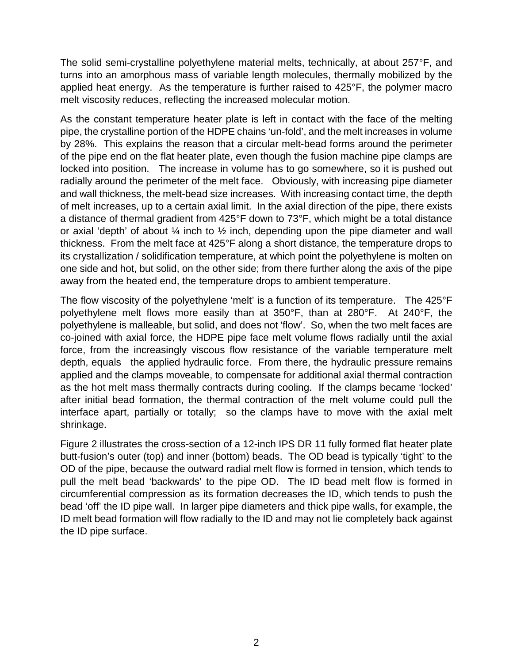The solid semi-crystalline polyethylene material melts, technically, at about 257°F, and turns into an amorphous mass of variable length molecules, thermally mobilized by the applied heat energy. As the temperature is further raised to 425°F, the polymer macro melt viscosity reduces, reflecting the increased molecular motion.

As the constant temperature heater plate is left in contact with the face of the melting pipe, the crystalline portion of the HDPE chains 'un-fold', and the melt increases in volume by 28%. This explains the reason that a circular melt-bead forms around the perimeter of the pipe end on the flat heater plate, even though the fusion machine pipe clamps are locked into position. The increase in volume has to go somewhere, so it is pushed out radially around the perimeter of the melt face. Obviously, with increasing pipe diameter and wall thickness, the melt-bead size increases. With increasing contact time, the depth of melt increases, up to a certain axial limit. In the axial direction of the pipe, there exists a distance of thermal gradient from 425°F down to 73°F, which might be a total distance or axial 'depth' of about  $\frac{1}{4}$  inch to  $\frac{1}{2}$  inch, depending upon the pipe diameter and wall thickness. From the melt face at 425°F along a short distance, the temperature drops to its crystallization / solidification temperature, at which point the polyethylene is molten on one side and hot, but solid, on the other side; from there further along the axis of the pipe away from the heated end, the temperature drops to ambient temperature.

The flow viscosity of the polyethylene 'melt' is a function of its temperature. The 425°F polyethylene melt flows more easily than at 350°F, than at 280°F. At 240°F, the polyethylene is malleable, but solid, and does not 'flow'. So, when the two melt faces are co-joined with axial force, the HDPE pipe face melt volume flows radially until the axial force, from the increasingly viscous flow resistance of the variable temperature melt depth, equals the applied hydraulic force. From there, the hydraulic pressure remains applied and the clamps moveable, to compensate for additional axial thermal contraction as the hot melt mass thermally contracts during cooling. If the clamps became 'locked' after initial bead formation, the thermal contraction of the melt volume could pull the interface apart, partially or totally; so the clamps have to move with the axial melt shrinkage.

[Figure 2](#page-6-0) illustrates the cross-section of a 12-inch IPS DR 11 fully formed flat heater plate butt-fusion's outer (top) and inner (bottom) beads. The OD bead is typically 'tight' to the OD of the pipe, because the outward radial melt flow is formed in tension, which tends to pull the melt bead 'backwards' to the pipe OD. The ID bead melt flow is formed in circumferential compression as its formation decreases the ID, which tends to push the bead 'off' the ID pipe wall. In larger pipe diameters and thick pipe walls, for example, the ID melt bead formation will flow radially to the ID and may not lie completely back against the ID pipe surface.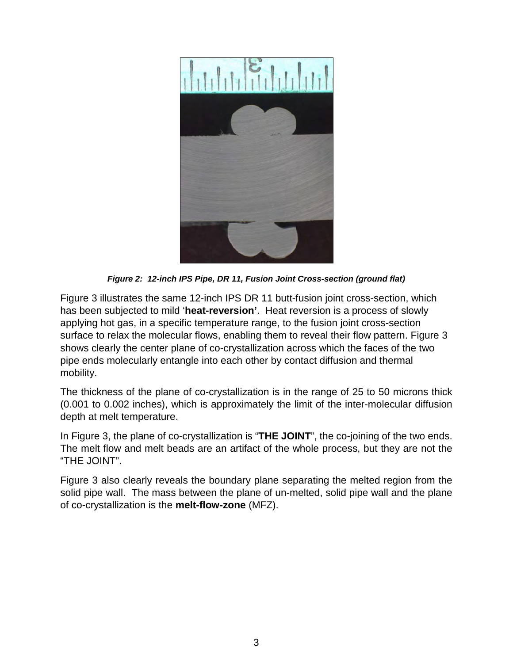

*Figure 2: 12-inch IPS Pipe, DR 11, Fusion Joint Cross-section (ground flat)* 

[Figure 3](#page-6-0) illustrates the same 12-inch IPS DR 11 butt-fusion joint cross-section, which has been subjected to mild '**heat-reversion'**. Heat reversion is a process of slowly applying hot gas, in a specific temperature range, to the fusion joint cross-section surface to relax the molecular flows, enabling them to reveal their flow pattern. [Figure 3](#page-6-0) shows clearly the center plane of co-crystallization across which the faces of the two pipe ends molecularly entangle into each other by contact diffusion and thermal mobility.

The thickness of the plane of co-crystallization is in the range of 25 to 50 microns thick (0.001 to 0.002 inches), which is approximately the limit of the inter-molecular diffusion depth at melt temperature.

In Figure 3, the plane of co-crystallization is "**THE JOINT**", the co-joining of the two ends. The melt flow and melt beads are an artifact of the whole process, but they are not the "THE JOINT".

[Figure 3](#page-6-0) also clearly reveals the boundary plane separating the melted region from the solid pipe wall. The mass between the plane of un-melted, solid pipe wall and the plane of co-crystallization is the **melt-flow-zone** (MFZ).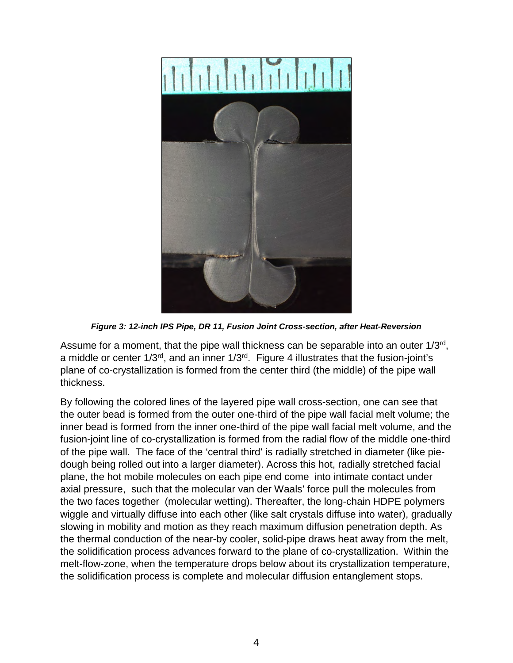

*Figure 3: 12-inch IPS Pipe, DR 11, Fusion Joint Cross-section, after Heat-Reversion*

<span id="page-6-0"></span>Assume for a moment, that the pipe wall thickness can be separable into an outer 1/3rd, a middle or center 1/3rd, and an inner 1/3rd. [Figure 4](#page-7-0) illustrates that the fusion-joint's plane of co-crystallization is formed from the center third (the middle) of the pipe wall thickness.

By following the colored lines of the layered pipe wall cross-section, one can see that the outer bead is formed from the outer one-third of the pipe wall facial melt volume; the inner bead is formed from the inner one-third of the pipe wall facial melt volume, and the fusion-joint line of co-crystallization is formed from the radial flow of the middle one-third of the pipe wall. The face of the 'central third' is radially stretched in diameter (like piedough being rolled out into a larger diameter). Across this hot, radially stretched facial plane, the hot mobile molecules on each pipe end come into intimate contact under axial pressure, such that the molecular van der Waals' force pull the molecules from the two faces together (molecular wetting). Thereafter, the long-chain HDPE polymers wiggle and virtually diffuse into each other (like salt crystals diffuse into water), gradually slowing in mobility and motion as they reach maximum diffusion penetration depth. As the thermal conduction of the near-by cooler, solid-pipe draws heat away from the melt, the solidification process advances forward to the plane of co-crystallization. Within the melt-flow-zone, when the temperature drops below about its crystallization temperature, the solidification process is complete and molecular diffusion entanglement stops.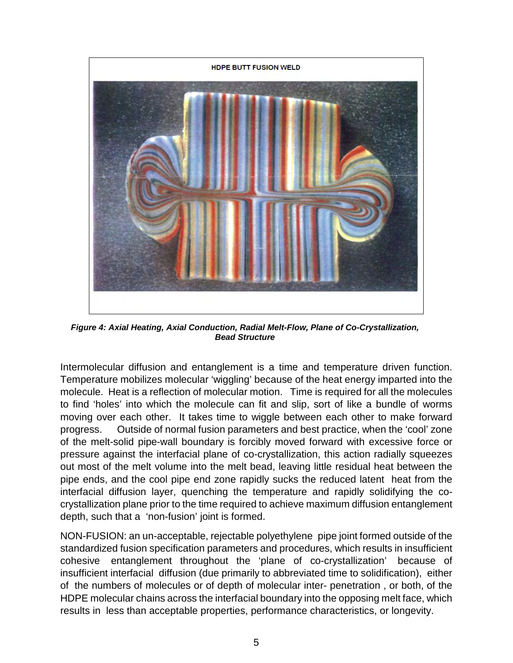

*Figure 4: Axial Heating, Axial Conduction, Radial Melt-Flow, Plane of Co-Crystallization, Bead Structure*

<span id="page-7-0"></span>Intermolecular diffusion and entanglement is a time and temperature driven function. Temperature mobilizes molecular 'wiggling' because of the heat energy imparted into the molecule. Heat is a reflection of molecular motion. Time is required for all the molecules to find 'holes' into which the molecule can fit and slip, sort of like a bundle of worms moving over each other. It takes time to wiggle between each other to make forward progress. Outside of normal fusion parameters and best practice, when the 'cool' zone of the melt-solid pipe-wall boundary is forcibly moved forward with excessive force or pressure against the interfacial plane of co-crystallization, this action radially squeezes out most of the melt volume into the melt bead, leaving little residual heat between the pipe ends, and the cool pipe end zone rapidly sucks the reduced latent heat from the interfacial diffusion layer, quenching the temperature and rapidly solidifying the cocrystallization plane prior to the time required to achieve maximum diffusion entanglement depth, such that a 'non-fusion' joint is formed.

NON-FUSION: an un-acceptable, rejectable polyethylene pipe joint formed outside of the standardized fusion specification parameters and procedures, which results in insufficient cohesive entanglement throughout the 'plane of co-crystallization' because of insufficient interfacial diffusion (due primarily to abbreviated time to solidification), either of the numbers of molecules or of depth of molecular inter- penetration , or both, of the HDPE molecular chains across the interfacial boundary into the opposing melt face, which results in less than acceptable properties, performance characteristics, or longevity.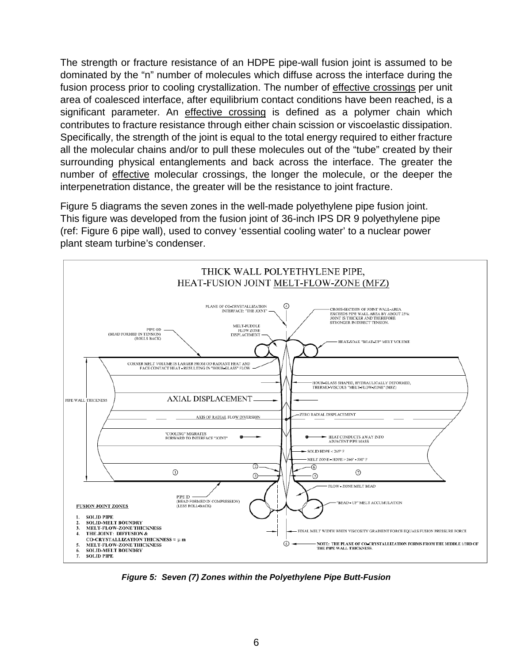The strength or fracture resistance of an HDPE pipe-wall fusion joint is assumed to be dominated by the "n" number of molecules which diffuse across the interface during the fusion process prior to cooling crystallization. The number of effective crossings per unit area of coalesced interface, after equilibrium contact conditions have been reached, is a significant parameter. An effective crossing is defined as a polymer chain which contributes to fracture resistance through either chain scission or viscoelastic dissipation. Specifically, the strength of the joint is equal to the total energy required to either fracture all the molecular chains and/or to pull these molecules out of the "tube" created by their surrounding physical entanglements and back across the interface. The greater the number of effective molecular crossings, the longer the molecule, or the deeper the interpenetration distance, the greater will be the resistance to joint fracture.

[Figure 5](#page-8-0) diagrams the seven zones in the well-made polyethylene pipe fusion joint. This figure was developed from the fusion joint of 36-inch IPS DR 9 polyethylene pipe (ref: [Figure 6](#page-10-0) pipe wall), used to convey 'essential cooling water' to a nuclear power plant steam turbine's condenser.



<span id="page-8-0"></span>*Figure 5: Seven (7) Zones within the Polyethylene Pipe Butt-Fusion*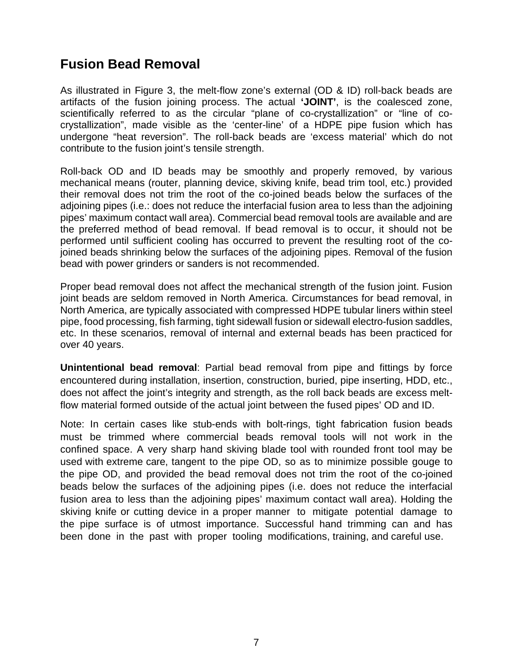#### <span id="page-9-0"></span>**Fusion Bead Removal**

As illustrated in Figure 3, the melt-flow zone's external (OD & ID) roll-back beads are artifacts of the fusion joining process. The actual **'JOINT'**, is the coalesced zone, scientifically referred to as the circular "plane of co-crystallization" or "line of cocrystallization", made visible as the 'center-line' of a HDPE pipe fusion which has undergone "heat reversion". The roll-back beads are 'excess material' which do not contribute to the fusion joint's tensile strength.

Roll-back OD and ID beads may be smoothly and properly removed, by various mechanical means (router, planning device, skiving knife, bead trim tool, etc.) provided their removal does not trim the root of the co-joined beads below the surfaces of the adjoining pipes (i.e.: does not reduce the interfacial fusion area to less than the adjoining pipes' maximum contact wall area). Commercial bead removal tools are available and are the preferred method of bead removal. If bead removal is to occur, it should not be performed until sufficient cooling has occurred to prevent the resulting root of the cojoined beads shrinking below the surfaces of the adjoining pipes. Removal of the fusion bead with power grinders or sanders is not recommended.

Proper bead removal does not affect the mechanical strength of the fusion joint. Fusion joint beads are seldom removed in North America. Circumstances for bead removal, in North America, are typically associated with compressed HDPE tubular liners within steel pipe, food processing, fish farming, tight sidewall fusion or sidewall electro-fusion saddles, etc. In these scenarios, removal of internal and external beads has been practiced for over 40 years.

**Unintentional bead removal**: Partial bead removal from pipe and fittings by force encountered during installation, insertion, construction, buried, pipe inserting, HDD, etc., does not affect the joint's integrity and strength, as the roll back beads are excess meltflow material formed outside of the actual joint between the fused pipes' OD and ID.

Note: In certain cases like stub-ends with bolt-rings, tight fabrication fusion beads must be trimmed where commercial beads removal tools will not work in the confined space. A very sharp hand skiving blade tool with rounded front tool may be used with extreme care, tangent to the pipe OD, so as to minimize possible gouge to the pipe OD, and provided the bead removal does not trim the root of the co-joined beads below the surfaces of the adjoining pipes (i.e. does not reduce the interfacial fusion area to less than the adjoining pipes' maximum contact wall area). Holding the skiving knife or cutting device in a proper manner to mitigate potential damage to the pipe surface is of utmost importance. Successful hand trimming can and has been done in the past with proper tooling modifications, training, and careful use.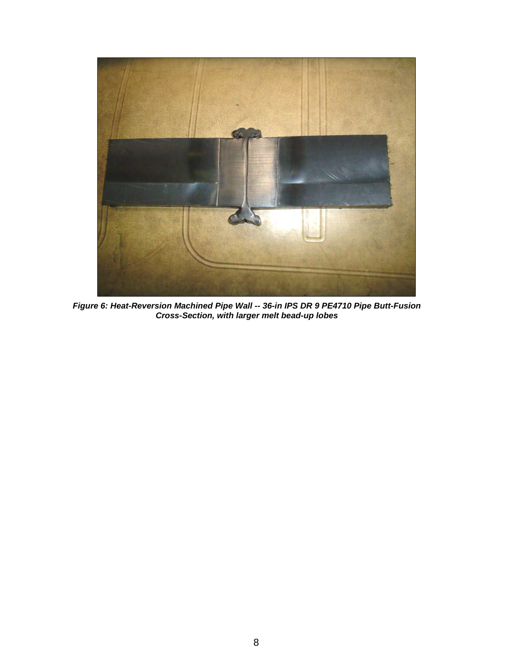<span id="page-10-0"></span>

*Figure 6: Heat-Reversion Machined Pipe Wall -- 36-in IPS DR 9 PE4710 Pipe Butt-Fusion Cross-Section, with larger melt bead-up lobes*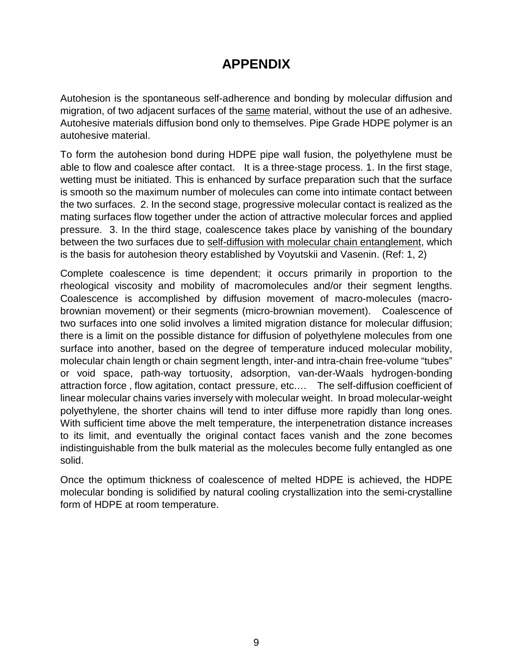### **APPENDIX**

<span id="page-11-0"></span>Autohesion is the spontaneous self-adherence and bonding by molecular diffusion and migration, of two adjacent surfaces of the same material, without the use of an adhesive. Autohesive materials diffusion bond only to themselves. Pipe Grade HDPE polymer is an autohesive material.

To form the autohesion bond during HDPE pipe wall fusion, the polyethylene must be able to flow and coalesce after contact. It is a three-stage process. 1. In the first stage, wetting must be initiated. This is enhanced by surface preparation such that the surface is smooth so the maximum number of molecules can come into intimate contact between the two surfaces. 2. In the second stage, progressive molecular contact is realized as the mating surfaces flow together under the action of attractive molecular forces and applied pressure. 3. In the third stage, coalescence takes place by vanishing of the boundary between the two surfaces due to self-diffusion with molecular chain entanglement, which is the basis for autohesion theory established by Voyutskii and Vasenin. (Ref: 1, 2)

Complete coalescence is time dependent; it occurs primarily in proportion to the rheological viscosity and mobility of macromolecules and/or their segment lengths. Coalescence is accomplished by diffusion movement of macro-molecules (macrobrownian movement) or their segments (micro-brownian movement). Coalescence of two surfaces into one solid involves a limited migration distance for molecular diffusion; there is a limit on the possible distance for diffusion of polyethylene molecules from one surface into another, based on the degree of temperature induced molecular mobility, molecular chain length or chain segment length, inter-and intra-chain free-volume "tubes" or void space, path-way tortuosity, adsorption, van-der-Waals hydrogen-bonding attraction force , flow agitation, contact pressure, etc.… The self-diffusion coefficient of linear molecular chains varies inversely with molecular weight. In broad molecular-weight polyethylene, the shorter chains will tend to inter diffuse more rapidly than long ones. With sufficient time above the melt temperature, the interpenetration distance increases to its limit, and eventually the original contact faces vanish and the zone becomes indistinguishable from the bulk material as the molecules become fully entangled as one solid.

Once the optimum thickness of coalescence of melted HDPE is achieved, the HDPE molecular bonding is solidified by natural cooling crystallization into the semi-crystalline form of HDPE at room temperature.